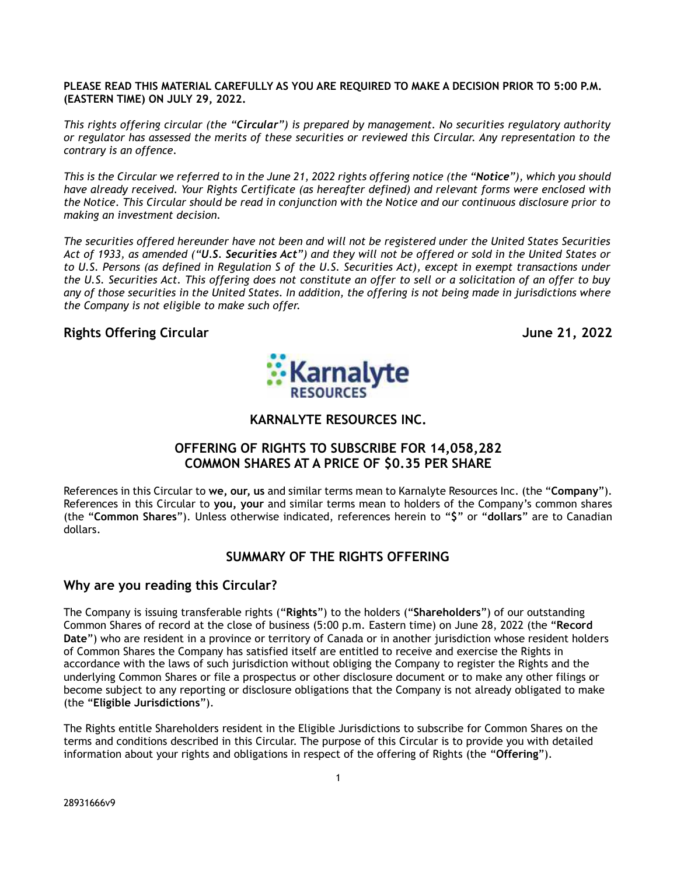#### **PLEASE READ THIS MATERIAL CAREFULLY AS YOU ARE REQUIRED TO MAKE A DECISION PRIOR TO 5:00 P.M. (EASTERN TIME) ON JULY 29, 2022.**

*This rights offering circular (the "Circular") is prepared by management. No securities regulatory authority or regulator has assessed the merits of these securities or reviewed this Circular. Any representation to the contrary is an offence.*

*This is the Circular we referred to in the June 21, 2022 rights offering notice (the "Notice"), which you should have already received. Your Rights Certificate (as hereafter defined) and relevant forms were enclosed with the Notice. This Circular should be read in conjunction with the Notice and our continuous disclosure prior to making an investment decision.*

*The securities offered hereunder have not been and will not be registered under the United States Securities Act of 1933, as amended ("U.S. Securities Act") and they will not be offered or sold in the United States or to U.S. Persons (as defined in Regulation S of the U.S. Securities Act), except in exempt transactions under the U.S. Securities Act. This offering does not constitute an offer to sell or a solicitation of an offer to buy any of those securities in the United States. In addition, the offering is not being made in jurisdictions where the Company is not eligible to make such offer.*

## **Rights Offering Circular June 21, 2022**



**KARNALYTE RESOURCES INC.**

# **OFFERING OF RIGHTS TO SUBSCRIBE FOR 14,058,282 COMMON SHARES AT A PRICE OF \$0.35 PER SHARE**

References in this Circular to **we, our, us** and similar terms mean to Karnalyte Resources Inc. (the "**Company**"). References in this Circular to **you, your** and similar terms mean to holders of the Company's common shares (the "**Common Shares**"). Unless otherwise indicated, references herein to "**\$**" or "**dollars**" are to Canadian dollars.

# **SUMMARY OF THE RIGHTS OFFERING**

### **Why are you reading this Circular?**

The Company is issuing transferable rights ("**Rights**") to the holders ("**Shareholders**") of our outstanding Common Shares of record at the close of business (5:00 p.m. Eastern time) on June 28, 2022 (the "**Record Date**") who are resident in a province or territory of Canada or in another jurisdiction whose resident holders of Common Shares the Company has satisfied itself are entitled to receive and exercise the Rights in accordance with the laws of such jurisdiction without obliging the Company to register the Rights and the underlying Common Shares or file a prospectus or other disclosure document or to make any other filings or become subject to any reporting or disclosure obligations that the Company is not already obligated to make (the "**Eligible Jurisdictions**").

The Rights entitle Shareholders resident in the Eligible Jurisdictions to subscribe for Common Shares on the terms and conditions described in this Circular. The purpose of this Circular is to provide you with detailed information about your rights and obligations in respect of the offering of Rights (the "**Offering**").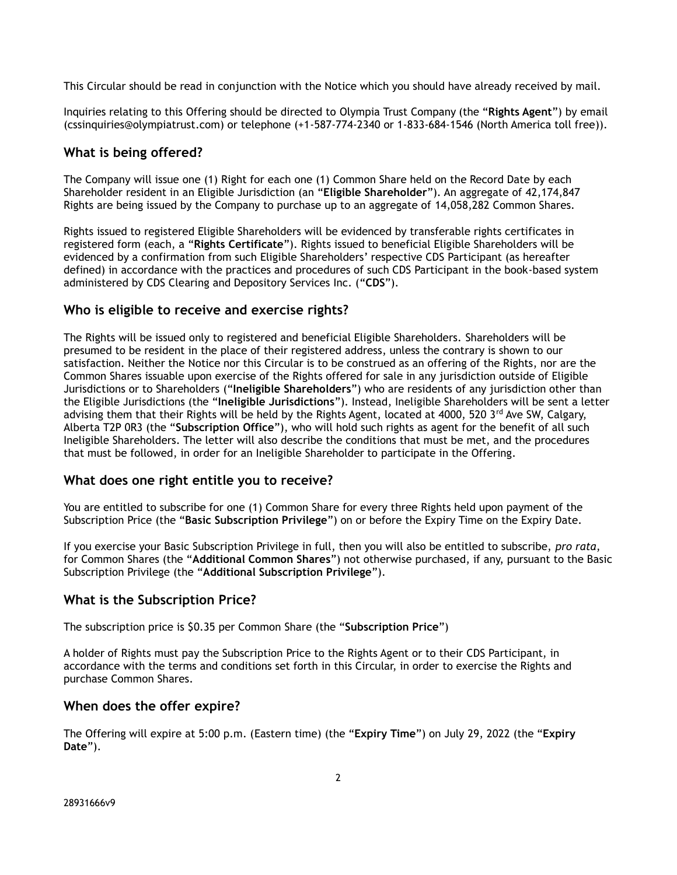This Circular should be read in conjunction with the Notice which you should have already received by mail.

Inquiries relating to this Offering should be directed to Olympia Trust Company (the "**Rights Agent**") by email (cssinquiries@olympiatrust.com) or telephone (+1-587-774-2340 or 1-833-684-1546 (North America toll free)).

# **What is being offered?**

The Company will issue one (1) Right for each one (1) Common Share held on the Record Date by each Shareholder resident in an Eligible Jurisdiction (an "**Eligible Shareholder**"). An aggregate of 42,174,847 Rights are being issued by the Company to purchase up to an aggregate of 14,058,282 Common Shares.

Rights issued to registered Eligible Shareholders will be evidenced by transferable rights certificates in registered form (each, a "**Rights Certificate**"). Rights issued to beneficial Eligible Shareholders will be evidenced by a confirmation from such Eligible Shareholders' respective CDS Participant (as hereafter defined) in accordance with the practices and procedures of such CDS Participant in the book-based system administered by CDS Clearing and Depository Services Inc. ("**CDS**").

## **Who is eligible to receive and exercise rights?**

The Rights will be issued only to registered and beneficial Eligible Shareholders. Shareholders will be presumed to be resident in the place of their registered address, unless the contrary is shown to our satisfaction. Neither the Notice nor this Circular is to be construed as an offering of the Rights, nor are the Common Shares issuable upon exercise of the Rights offered for sale in any jurisdiction outside of Eligible Jurisdictions or to Shareholders ("**Ineligible Shareholders**") who are residents of any jurisdiction other than the Eligible Jurisdictions (the "**Ineligible Jurisdictions**"). Instead, Ineligible Shareholders will be sent a letter advising them that their Rights will be held by the Rights Agent, located at 4000, 520 3<sup>rd</sup> Ave SW, Calgary, Alberta T2P 0R3 (the "**Subscription Office**"), who will hold such rights as agent for the benefit of all such Ineligible Shareholders. The letter will also describe the conditions that must be met, and the procedures that must be followed, in order for an Ineligible Shareholder to participate in the Offering.

# **What does one right entitle you to receive?**

You are entitled to subscribe for one (1) Common Share for every three Rights held upon payment of the Subscription Price (the "**Basic Subscription Privilege**") on or before the Expiry Time on the Expiry Date.

If you exercise your Basic Subscription Privilege in full, then you will also be entitled to subscribe, *pro rata*, for Common Shares (the "**Additional Common Shares**") not otherwise purchased, if any, pursuant to the Basic Subscription Privilege (the "**Additional Subscription Privilege**").

# **What is the Subscription Price?**

The subscription price is \$0.35 per Common Share (the "**Subscription Price**")

A holder of Rights must pay the Subscription Price to the Rights Agent or to their CDS Participant, in accordance with the terms and conditions set forth in this Circular, in order to exercise the Rights and purchase Common Shares.

# **When does the offer expire?**

The Offering will expire at 5:00 p.m. (Eastern time) (the "**Expiry Time**") on July 29, 2022 (the "**Expiry Date**").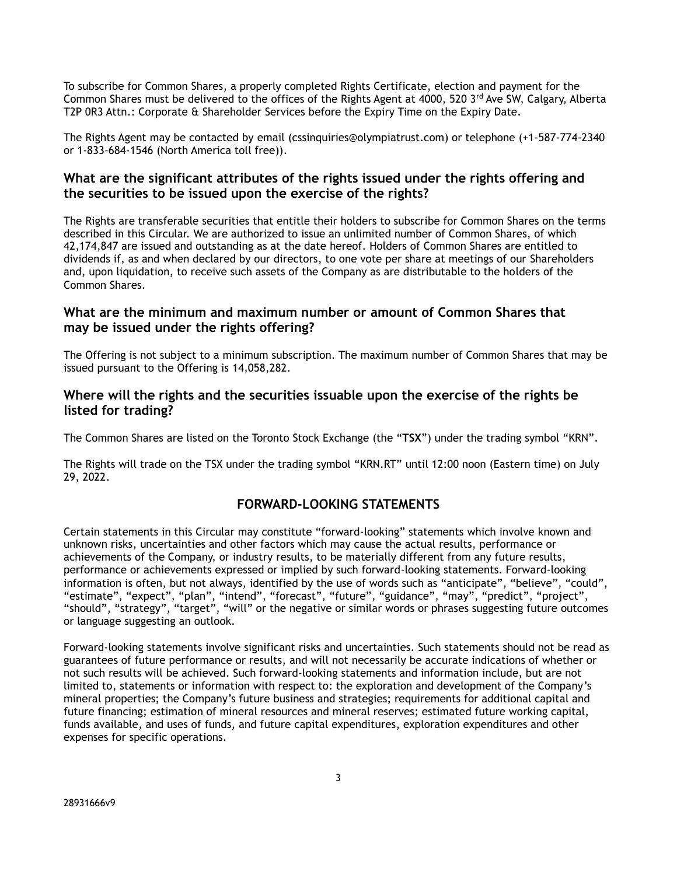To subscribe for Common Shares, a properly completed Rights Certificate, election and payment for the Common Shares must be delivered to the offices of the Rights Agent at 4000, 520 3<sup>rd</sup> Ave SW, Calgary, Alberta T2P 0R3 Attn.: Corporate & Shareholder Services before the Expiry Time on the Expiry Date.

The Rights Agent may be contacted by email (cssinquiries@olympiatrust.com) or telephone (+1-587-774-2340 or 1-833-684-1546 (North America toll free)).

## **What are the significant attributes of the rights issued under the rights offering and the securities to be issued upon the exercise of the rights?**

The Rights are transferable securities that entitle their holders to subscribe for Common Shares on the terms described in this Circular. We are authorized to issue an unlimited number of Common Shares, of which 42,174,847 are issued and outstanding as at the date hereof. Holders of Common Shares are entitled to dividends if, as and when declared by our directors, to one vote per share at meetings of our Shareholders and, upon liquidation, to receive such assets of the Company as are distributable to the holders of the Common Shares.

### **What are the minimum and maximum number or amount of Common Shares that may be issued under the rights offering?**

The Offering is not subject to a minimum subscription. The maximum number of Common Shares that may be issued pursuant to the Offering is 14,058,282.

## **Where will the rights and the securities issuable upon the exercise of the rights be listed for trading?**

The Common Shares are listed on the Toronto Stock Exchange (the "**TSX**") under the trading symbol "KRN".

The Rights will trade on the TSX under the trading symbol "KRN.RT" until 12:00 noon (Eastern time) on July 29, 2022.

# **FORWARD-LOOKING STATEMENTS**

Certain statements in this Circular may constitute "forward-looking" statements which involve known and unknown risks, uncertainties and other factors which may cause the actual results, performance or achievements of the Company, or industry results, to be materially different from any future results, performance or achievements expressed or implied by such forward-looking statements. Forward-looking information is often, but not always, identified by the use of words such as "anticipate", "believe", "could", "estimate", "expect", "plan", "intend", "forecast", "future", "guidance", "may", "predict", "project", "should", "strategy", "target", "will" or the negative or similar words or phrases suggesting future outcomes or language suggesting an outlook.

Forward-looking statements involve significant risks and uncertainties. Such statements should not be read as guarantees of future performance or results, and will not necessarily be accurate indications of whether or not such results will be achieved. Such forward-looking statements and information include, but are not limited to, statements or information with respect to: the exploration and development of the Company's mineral properties; the Company's future business and strategies; requirements for additional capital and future financing; estimation of mineral resources and mineral reserves; estimated future working capital, funds available, and uses of funds, and future capital expenditures, exploration expenditures and other expenses for specific operations.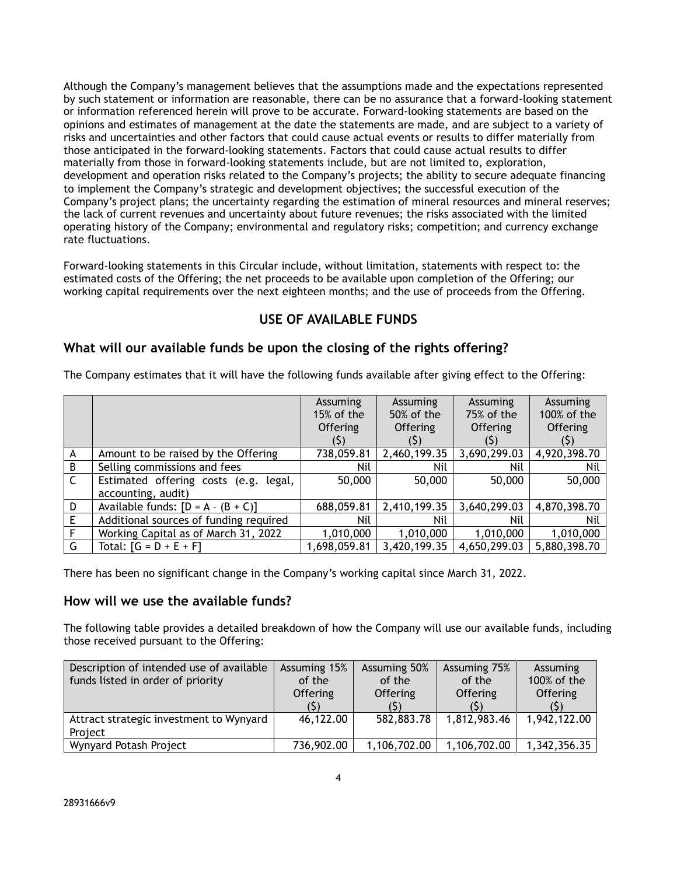Although the Company's management believes that the assumptions made and the expectations represented by such statement or information are reasonable, there can be no assurance that a forward-looking statement or information referenced herein will prove to be accurate. Forward-looking statements are based on the opinions and estimates of management at the date the statements are made, and are subject to a variety of risks and uncertainties and other factors that could cause actual events or results to differ materially from those anticipated in the forward-looking statements. Factors that could cause actual results to differ materially from those in forward-looking statements include, but are not limited to, exploration, development and operation risks related to the Company's projects; the ability to secure adequate financing to implement the Company's strategic and development objectives; the successful execution of the Company's project plans; the uncertainty regarding the estimation of mineral resources and mineral reserves; the lack of current revenues and uncertainty about future revenues; the risks associated with the limited operating history of the Company; environmental and regulatory risks; competition; and currency exchange rate fluctuations.

Forward-looking statements in this Circular include, without limitation, statements with respect to: the estimated costs of the Offering; the net proceeds to be available upon completion of the Offering; our working capital requirements over the next eighteen months; and the use of proceeds from the Offering.

# **USE OF AVAILABLE FUNDS**

## **What will our available funds be upon the closing of the rights offering?**

| The Company estimates that it will have the following funds available after giving effect to the Offering: |
|------------------------------------------------------------------------------------------------------------|
|                                                                                                            |

|   |                                          | Assuming        | Assuming        | Assuming        | Assuming        |
|---|------------------------------------------|-----------------|-----------------|-----------------|-----------------|
|   |                                          | 15% of the      | 50% of the      | 75% of the      | 100% of the     |
|   |                                          | <b>Offering</b> | <b>Offering</b> | <b>Offering</b> | <b>Offering</b> |
|   |                                          | (S)             | (Ş)             |                 |                 |
| A | Amount to be raised by the Offering      | 738,059.81      | 2,460,199.35    | 3,690,299.03    | 4,920,398.70    |
| B | Selling commissions and fees             | Nil             | Nil             | Nil             | Nil             |
| C | Estimated offering costs (e.g.<br>legal, | 50,000          | 50,000          | 50,000          | 50,000          |
|   | accounting, audit)                       |                 |                 |                 |                 |
| D | Available funds: $[D = A - (B + C)]$     | 688,059.81      | 2,410,199.35    | 3,640,299.03    | 4,870,398.70    |
| E | Additional sources of funding required   | Nil             | Nil             | Nil             | Nil             |
| F | Working Capital as of March 31, 2022     | 1,010,000       | 1,010,000       | 1,010,000       | 1,010,000       |
| G | Total: $[G = D + E + F]$                 | 1,698,059.81    | 3,420,199.35    | 4,650,299.03    | 5,880,398.70    |

There has been no significant change in the Company's working capital since March 31, 2022.

### **How will we use the available funds?**

The following table provides a detailed breakdown of how the Company will use our available funds, including those received pursuant to the Offering:

| Description of intended use of available<br>funds listed in order of priority | Assuming 15%<br>of the<br><b>Offering</b> | Assuming 50%<br>of the<br><b>Offering</b> | Assuming 75%<br>of the<br><b>Offering</b> | <b>Assuming</b><br>100% of the<br><b>Offering</b> |
|-------------------------------------------------------------------------------|-------------------------------------------|-------------------------------------------|-------------------------------------------|---------------------------------------------------|
| Attract strategic investment to Wynyard<br>Project                            | 46,122.00                                 | 582,883.78                                | 1,812,983.46                              | 1,942,122.00                                      |
| Wynyard Potash Project                                                        | 736,902.00                                | 1,106,702.00                              | 1,106,702.00                              | 1,342,356.35                                      |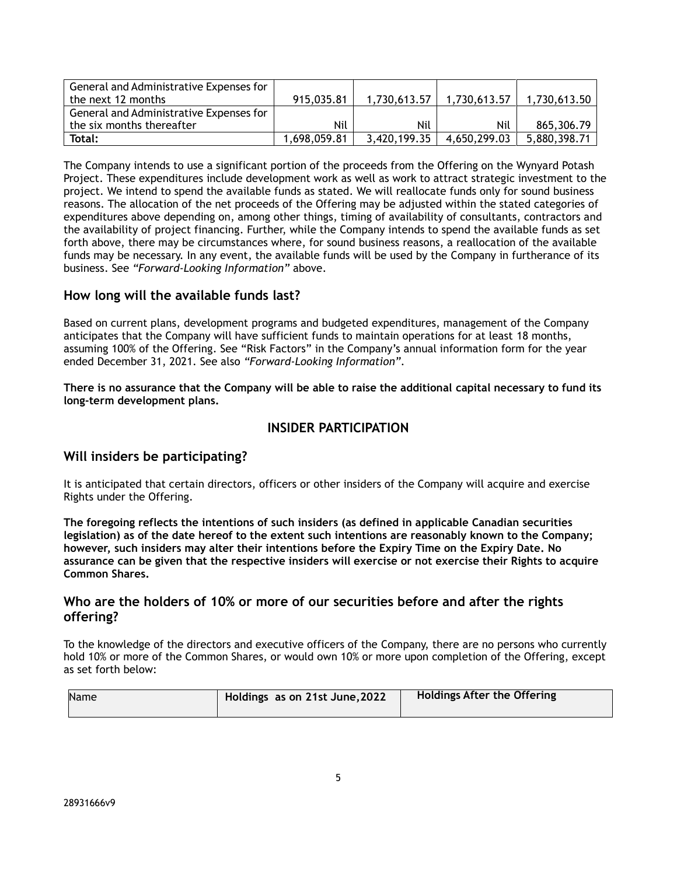| General and Administrative Expenses for |              |              |              |              |
|-----------------------------------------|--------------|--------------|--------------|--------------|
| the next 12 months                      | 915,035.81   | 1.730.613.57 | 1.730.613.57 | 1.730.613.50 |
| General and Administrative Expenses for |              |              |              |              |
| the six months thereafter               | Nil          | Nil          | Nil          | 865,306.79   |
| Total:                                  | 1.698.059.81 | 3,420,199.35 | 4.650.299.03 | 5,880,398.71 |

The Company intends to use a significant portion of the proceeds from the Offering on the Wynyard Potash Project. These expenditures include development work as well as work to attract strategic investment to the project. We intend to spend the available funds as stated. We will reallocate funds only for sound business reasons. The allocation of the net proceeds of the Offering may be adjusted within the stated categories of expenditures above depending on, among other things, timing of availability of consultants, contractors and the availability of project financing. Further, while the Company intends to spend the available funds as set forth above, there may be circumstances where, for sound business reasons, a reallocation of the available funds may be necessary. In any event, the available funds will be used by the Company in furtherance of its business. See *"Forward-Looking Information"* above.

## **How long will the available funds last?**

Based on current plans, development programs and budgeted expenditures, management of the Company anticipates that the Company will have sufficient funds to maintain operations for at least 18 months, assuming 100% of the Offering. See "Risk Factors" in the Company's annual information form for the year ended December 31, 2021. See also *"Forward-Looking Information".*

**There is no assurance that the Company will be able to raise the additional capital necessary to fund its long-term development plans.**

### **INSIDER PARTICIPATION**

### **Will insiders be participating?**

It is anticipated that certain directors, officers or other insiders of the Company will acquire and exercise Rights under the Offering.

**The foregoing reflects the intentions of such insiders (as defined in applicable Canadian securities legislation) as of the date hereof to the extent such intentions are reasonably known to the Company; however, such insiders may alter their intentions before the Expiry Time on the Expiry Date. No assurance can be given that the respective insiders will exercise or not exercise their Rights to acquire Common Shares.**

### **Who are the holders of 10% or more of our securities before and after the rights offering?**

To the knowledge of the directors and executive officers of the Company, there are no persons who currently hold 10% or more of the Common Shares, or would own 10% or more upon completion of the Offering, except as set forth below:

| Name | Holdings as on 21st June, 2022 | <b>Holdings After the Offering</b> |
|------|--------------------------------|------------------------------------|
|      |                                |                                    |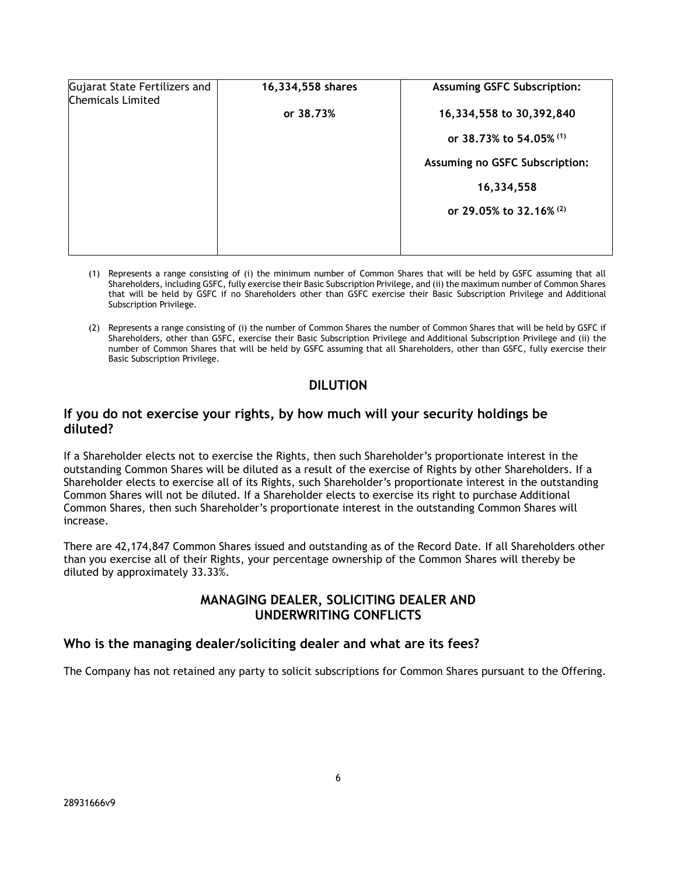| Gujarat State Fertilizers and<br><b>Chemicals Limited</b> | 16,334,558 shares | <b>Assuming GSFC Subscription:</b> |  |  |
|-----------------------------------------------------------|-------------------|------------------------------------|--|--|
|                                                           | or 38.73%         | 16,334,558 to 30,392,840           |  |  |
|                                                           |                   | or 38.73% to 54.05% (1)            |  |  |
|                                                           |                   | Assuming no GSFC Subscription:     |  |  |
|                                                           |                   | 16,334,558                         |  |  |
|                                                           |                   | or 29.05% to 32.16% (2)            |  |  |
|                                                           |                   |                                    |  |  |
|                                                           |                   |                                    |  |  |

- (1) Represents a range consisting of (i) the minimum number of Common Shares that will be held by GSFC assuming that all Shareholders, including GSFC, fully exercise their Basic Subscription Privilege, and (ii) the maximum number of Common Shares that will be held by GSFC if no Shareholders other than GSFC exercise their Basic Subscription Privilege and Additional Subscription Privilege.
- (2) Represents a range consisting of (i) the number of Common Shares the number of Common Shares that will be held by GSFC if Shareholders, other than GSFC, exercise their Basic Subscription Privilege and Additional Subscription Privilege and (ii) the number of Common Shares that will be held by GSFC assuming that all Shareholders, other than GSFC, fully exercise their Basic Subscription Privilege.

# **DILUTION**

#### **If you do not exercise your rights, by how much will your security holdings be diluted?**

If a Shareholder elects not to exercise the Rights, then such Shareholder's proportionate interest in the outstanding Common Shares will be diluted as a result of the exercise of Rights by other Shareholders. If a Shareholder elects to exercise all of its Rights, such Shareholder's proportionate interest in the outstanding Common Shares will not be diluted. If a Shareholder elects to exercise its right to purchase Additional Common Shares, then such Shareholder's proportionate interest in the outstanding Common Shares will increase.

There are 42,174,847 Common Shares issued and outstanding as of the Record Date. If all Shareholders other than you exercise all of their Rights, your percentage ownership of the Common Shares will thereby be diluted by approximately 33.33%.

### **MANAGING DEALER, SOLICITING DEALER AND UNDERWRITING CONFLICTS**

### **Who is the managing dealer/soliciting dealer and what are its fees?**

The Company has not retained any party to solicit subscriptions for Common Shares pursuant to the Offering.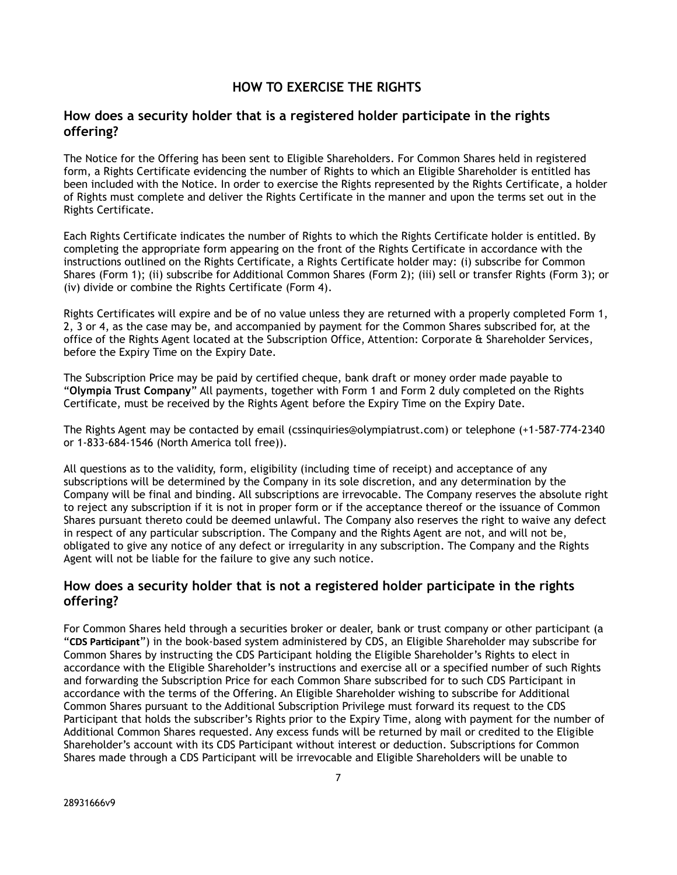### **HOW TO EXERCISE THE RIGHTS**

### **How does a security holder that is a registered holder participate in the rights offering?**

The Notice for the Offering has been sent to Eligible Shareholders. For Common Shares held in registered form, a Rights Certificate evidencing the number of Rights to which an Eligible Shareholder is entitled has been included with the Notice. In order to exercise the Rights represented by the Rights Certificate, a holder of Rights must complete and deliver the Rights Certificate in the manner and upon the terms set out in the Rights Certificate.

Each Rights Certificate indicates the number of Rights to which the Rights Certificate holder is entitled. By completing the appropriate form appearing on the front of the Rights Certificate in accordance with the instructions outlined on the Rights Certificate, a Rights Certificate holder may: (i) subscribe for Common Shares (Form 1); (ii) subscribe for Additional Common Shares (Form 2); (iii) sell or transfer Rights (Form 3); or (iv) divide or combine the Rights Certificate (Form 4).

Rights Certificates will expire and be of no value unless they are returned with a properly completed Form 1, 2, 3 or 4, as the case may be, and accompanied by payment for the Common Shares subscribed for, at the office of the Rights Agent located at the Subscription Office, Attention: Corporate & Shareholder Services, before the Expiry Time on the Expiry Date.

The Subscription Price may be paid by certified cheque, bank draft or money order made payable to "**Olympia Trust Company**" All payments, together with Form 1 and Form 2 duly completed on the Rights Certificate, must be received by the Rights Agent before the Expiry Time on the Expiry Date.

The Rights Agent may be contacted by email (cssinquiries@olympiatrust.com) or telephone (+1-587-774-2340 or 1-833-684-1546 (North America toll free)).

All questions as to the validity, form, eligibility (including time of receipt) and acceptance of any subscriptions will be determined by the Company in its sole discretion, and any determination by the Company will be final and binding. All subscriptions are irrevocable. The Company reserves the absolute right to reject any subscription if it is not in proper form or if the acceptance thereof or the issuance of Common Shares pursuant thereto could be deemed unlawful. The Company also reserves the right to waive any defect in respect of any particular subscription. The Company and the Rights Agent are not, and will not be, obligated to give any notice of any defect or irregularity in any subscription. The Company and the Rights Agent will not be liable for the failure to give any such notice.

### **How does a security holder that is not a registered holder participate in the rights offering?**

For Common Shares held through a securities broker or dealer, bank or trust company or other participant (a "**CDS Participant**") in the book-based system administered by CDS, an Eligible Shareholder may subscribe for Common Shares by instructing the CDS Participant holding the Eligible Shareholder's Rights to elect in accordance with the Eligible Shareholder's instructions and exercise all or a specified number of such Rights and forwarding the Subscription Price for each Common Share subscribed for to such CDS Participant in accordance with the terms of the Offering. An Eligible Shareholder wishing to subscribe for Additional Common Shares pursuant to the Additional Subscription Privilege must forward its request to the CDS Participant that holds the subscriber's Rights prior to the Expiry Time, along with payment for the number of Additional Common Shares requested. Any excess funds will be returned by mail or credited to the Eligible Shareholder's account with its CDS Participant without interest or deduction. Subscriptions for Common Shares made through a CDS Participant will be irrevocable and Eligible Shareholders will be unable to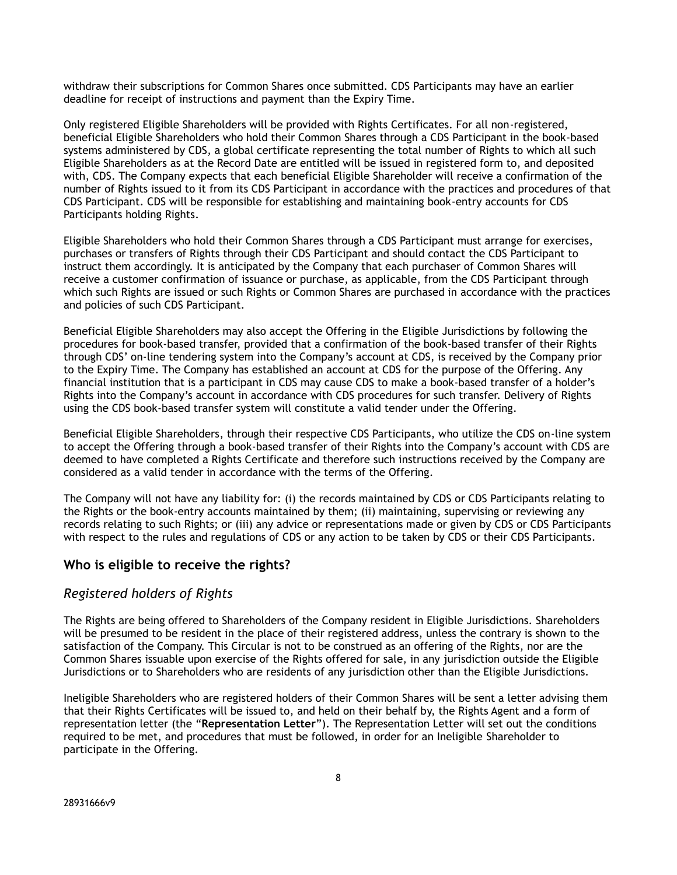withdraw their subscriptions for Common Shares once submitted. CDS Participants may have an earlier deadline for receipt of instructions and payment than the Expiry Time.

Only registered Eligible Shareholders will be provided with Rights Certificates. For all non-registered, beneficial Eligible Shareholders who hold their Common Shares through a CDS Participant in the book-based systems administered by CDS, a global certificate representing the total number of Rights to which all such Eligible Shareholders as at the Record Date are entitled will be issued in registered form to, and deposited with, CDS. The Company expects that each beneficial Eligible Shareholder will receive a confirmation of the number of Rights issued to it from its CDS Participant in accordance with the practices and procedures of that CDS Participant. CDS will be responsible for establishing and maintaining book-entry accounts for CDS Participants holding Rights.

Eligible Shareholders who hold their Common Shares through a CDS Participant must arrange for exercises, purchases or transfers of Rights through their CDS Participant and should contact the CDS Participant to instruct them accordingly. It is anticipated by the Company that each purchaser of Common Shares will receive a customer confirmation of issuance or purchase, as applicable, from the CDS Participant through which such Rights are issued or such Rights or Common Shares are purchased in accordance with the practices and policies of such CDS Participant.

Beneficial Eligible Shareholders may also accept the Offering in the Eligible Jurisdictions by following the procedures for book-based transfer, provided that a confirmation of the book-based transfer of their Rights through CDS' on-line tendering system into the Company's account at CDS, is received by the Company prior to the Expiry Time. The Company has established an account at CDS for the purpose of the Offering. Any financial institution that is a participant in CDS may cause CDS to make a book-based transfer of a holder's Rights into the Company's account in accordance with CDS procedures for such transfer. Delivery of Rights using the CDS book-based transfer system will constitute a valid tender under the Offering.

Beneficial Eligible Shareholders, through their respective CDS Participants, who utilize the CDS on-line system to accept the Offering through a book-based transfer of their Rights into the Company's account with CDS are deemed to have completed a Rights Certificate and therefore such instructions received by the Company are considered as a valid tender in accordance with the terms of the Offering.

The Company will not have any liability for: (i) the records maintained by CDS or CDS Participants relating to the Rights or the book-entry accounts maintained by them; (ii) maintaining, supervising or reviewing any records relating to such Rights; or (iii) any advice or representations made or given by CDS or CDS Participants with respect to the rules and regulations of CDS or any action to be taken by CDS or their CDS Participants.

### **Who is eligible to receive the rights?**

#### *Registered holders of Rights*

The Rights are being offered to Shareholders of the Company resident in Eligible Jurisdictions. Shareholders will be presumed to be resident in the place of their registered address, unless the contrary is shown to the satisfaction of the Company. This Circular is not to be construed as an offering of the Rights, nor are the Common Shares issuable upon exercise of the Rights offered for sale, in any jurisdiction outside the Eligible Jurisdictions or to Shareholders who are residents of any jurisdiction other than the Eligible Jurisdictions.

Ineligible Shareholders who are registered holders of their Common Shares will be sent a letter advising them that their Rights Certificates will be issued to, and held on their behalf by, the Rights Agent and a form of representation letter (the "**Representation Letter**"). The Representation Letter will set out the conditions required to be met, and procedures that must be followed, in order for an Ineligible Shareholder to participate in the Offering.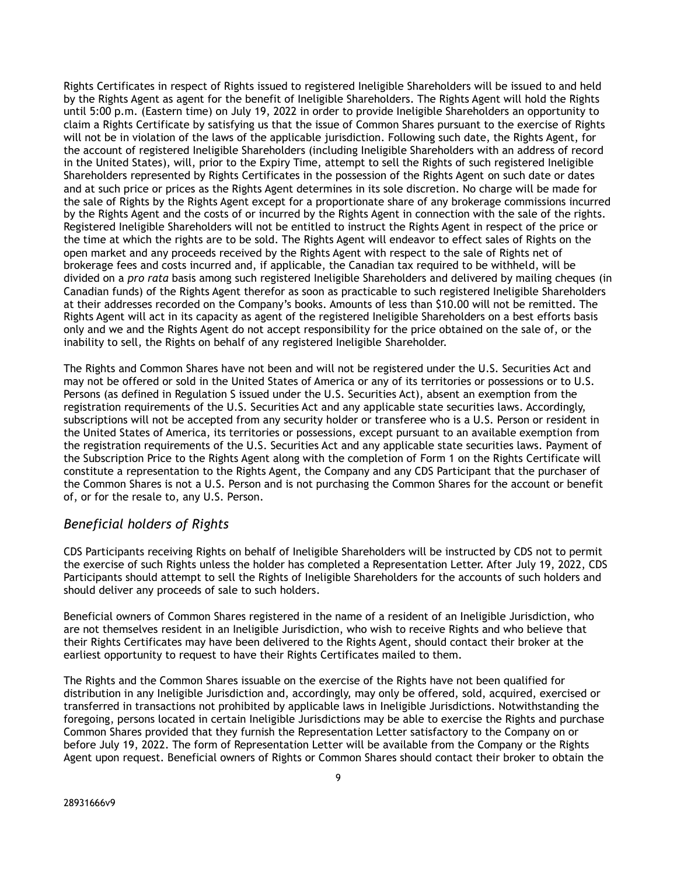Rights Certificates in respect of Rights issued to registered Ineligible Shareholders will be issued to and held by the Rights Agent as agent for the benefit of Ineligible Shareholders. The Rights Agent will hold the Rights until 5:00 p.m. (Eastern time) on July 19, 2022 in order to provide Ineligible Shareholders an opportunity to claim a Rights Certificate by satisfying us that the issue of Common Shares pursuant to the exercise of Rights will not be in violation of the laws of the applicable jurisdiction. Following such date, the Rights Agent, for the account of registered Ineligible Shareholders (including Ineligible Shareholders with an address of record in the United States), will, prior to the Expiry Time, attempt to sell the Rights of such registered Ineligible Shareholders represented by Rights Certificates in the possession of the Rights Agent on such date or dates and at such price or prices as the Rights Agent determines in its sole discretion. No charge will be made for the sale of Rights by the Rights Agent except for a proportionate share of any brokerage commissions incurred by the Rights Agent and the costs of or incurred by the Rights Agent in connection with the sale of the rights. Registered Ineligible Shareholders will not be entitled to instruct the Rights Agent in respect of the price or the time at which the rights are to be sold. The Rights Agent will endeavor to effect sales of Rights on the open market and any proceeds received by the Rights Agent with respect to the sale of Rights net of brokerage fees and costs incurred and, if applicable, the Canadian tax required to be withheld, will be divided on a *pro rata* basis among such registered Ineligible Shareholders and delivered by mailing cheques (in Canadian funds) of the Rights Agent therefor as soon as practicable to such registered Ineligible Shareholders at their addresses recorded on the Company's books. Amounts of less than \$10.00 will not be remitted. The Rights Agent will act in its capacity as agent of the registered Ineligible Shareholders on a best efforts basis only and we and the Rights Agent do not accept responsibility for the price obtained on the sale of, or the inability to sell, the Rights on behalf of any registered Ineligible Shareholder.

The Rights and Common Shares have not been and will not be registered under the U.S. Securities Act and may not be offered or sold in the United States of America or any of its territories or possessions or to U.S. Persons (as defined in Regulation S issued under the U.S. Securities Act), absent an exemption from the registration requirements of the U.S. Securities Act and any applicable state securities laws. Accordingly, subscriptions will not be accepted from any security holder or transferee who is a U.S. Person or resident in the United States of America, its territories or possessions, except pursuant to an available exemption from the registration requirements of the U.S. Securities Act and any applicable state securities laws. Payment of the Subscription Price to the Rights Agent along with the completion of Form 1 on the Rights Certificate will constitute a representation to the Rights Agent, the Company and any CDS Participant that the purchaser of the Common Shares is not a U.S. Person and is not purchasing the Common Shares for the account or benefit of, or for the resale to, any U.S. Person.

### *Beneficial holders of Rights*

CDS Participants receiving Rights on behalf of Ineligible Shareholders will be instructed by CDS not to permit the exercise of such Rights unless the holder has completed a Representation Letter. After July 19, 2022, CDS Participants should attempt to sell the Rights of Ineligible Shareholders for the accounts of such holders and should deliver any proceeds of sale to such holders.

Beneficial owners of Common Shares registered in the name of a resident of an Ineligible Jurisdiction, who are not themselves resident in an Ineligible Jurisdiction, who wish to receive Rights and who believe that their Rights Certificates may have been delivered to the Rights Agent, should contact their broker at the earliest opportunity to request to have their Rights Certificates mailed to them.

The Rights and the Common Shares issuable on the exercise of the Rights have not been qualified for distribution in any Ineligible Jurisdiction and, accordingly, may only be offered, sold, acquired, exercised or transferred in transactions not prohibited by applicable laws in Ineligible Jurisdictions. Notwithstanding the foregoing, persons located in certain Ineligible Jurisdictions may be able to exercise the Rights and purchase Common Shares provided that they furnish the Representation Letter satisfactory to the Company on or before July 19, 2022. The form of Representation Letter will be available from the Company or the Rights Agent upon request. Beneficial owners of Rights or Common Shares should contact their broker to obtain the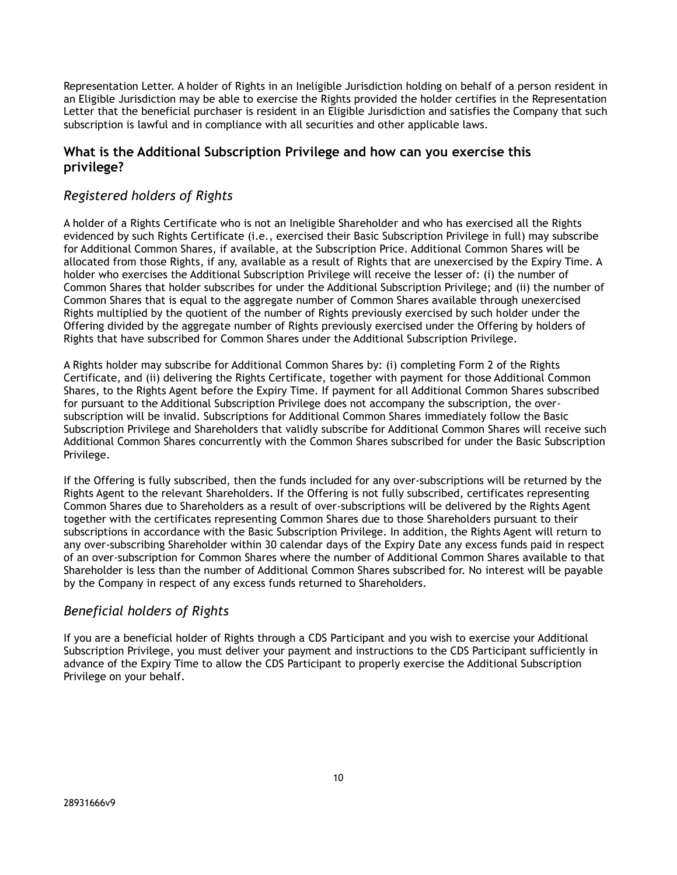Representation Letter. A holder of Rights in an Ineligible Jurisdiction holding on behalf of a person resident in an Eligible Jurisdiction may be able to exercise the Rights provided the holder certifies in the Representation Letter that the beneficial purchaser is resident in an Eligible Jurisdiction and satisfies the Company that such subscription is lawful and in compliance with all securities and other applicable laws.

## **What is the Additional Subscription Privilege and how can you exercise this privilege?**

# *Registered holders of Rights*

A holder of a Rights Certificate who is not an Ineligible Shareholder and who has exercised all the Rights evidenced by such Rights Certificate (i.e., exercised their Basic Subscription Privilege in full) may subscribe for Additional Common Shares, if available, at the Subscription Price. Additional Common Shares will be allocated from those Rights, if any, available as a result of Rights that are unexercised by the Expiry Time. A holder who exercises the Additional Subscription Privilege will receive the lesser of: (i) the number of Common Shares that holder subscribes for under the Additional Subscription Privilege; and (ii) the number of Common Shares that is equal to the aggregate number of Common Shares available through unexercised Rights multiplied by the quotient of the number of Rights previously exercised by such holder under the Offering divided by the aggregate number of Rights previously exercised under the Offering by holders of Rights that have subscribed for Common Shares under the Additional Subscription Privilege.

A Rights holder may subscribe for Additional Common Shares by: (i) completing Form 2 of the Rights Certificate, and (ii) delivering the Rights Certificate, together with payment for those Additional Common Shares, to the Rights Agent before the Expiry Time. If payment for all Additional Common Shares subscribed for pursuant to the Additional Subscription Privilege does not accompany the subscription, the oversubscription will be invalid. Subscriptions for Additional Common Shares immediately follow the Basic Subscription Privilege and Shareholders that validly subscribe for Additional Common Shares will receive such Additional Common Shares concurrently with the Common Shares subscribed for under the Basic Subscription Privilege.

If the Offering is fully subscribed, then the funds included for any over-subscriptions will be returned by the Rights Agent to the relevant Shareholders. If the Offering is not fully subscribed, certificates representing Common Shares due to Shareholders as a result of over-subscriptions will be delivered by the Rights Agent together with the certificates representing Common Shares due to those Shareholders pursuant to their subscriptions in accordance with the Basic Subscription Privilege. In addition, the Rights Agent will return to any over-subscribing Shareholder within 30 calendar days of the Expiry Date any excess funds paid in respect of an over-subscription for Common Shares where the number of Additional Common Shares available to that Shareholder is less than the number of Additional Common Shares subscribed for. No interest will be payable by the Company in respect of any excess funds returned to Shareholders.

# *Beneficial holders of Rights*

If you are a beneficial holder of Rights through a CDS Participant and you wish to exercise your Additional Subscription Privilege, you must deliver your payment and instructions to the CDS Participant sufficiently in advance of the Expiry Time to allow the CDS Participant to properly exercise the Additional Subscription Privilege on your behalf.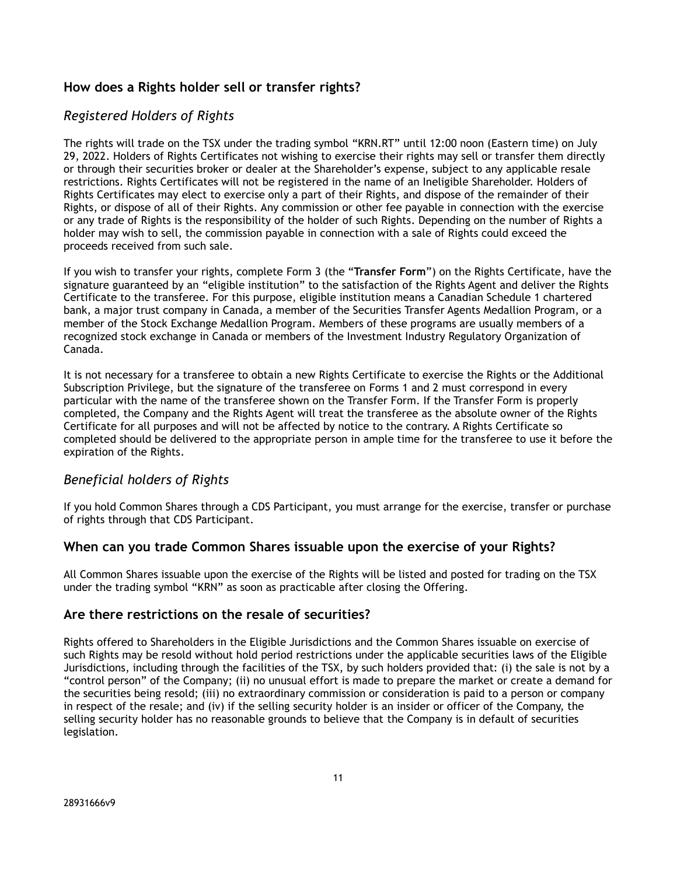## **How does a Rights holder sell or transfer rights?**

## *Registered Holders of Rights*

The rights will trade on the TSX under the trading symbol "KRN.RT" until 12:00 noon (Eastern time) on July 29, 2022. Holders of Rights Certificates not wishing to exercise their rights may sell or transfer them directly or through their securities broker or dealer at the Shareholder's expense, subject to any applicable resale restrictions. Rights Certificates will not be registered in the name of an Ineligible Shareholder. Holders of Rights Certificates may elect to exercise only a part of their Rights, and dispose of the remainder of their Rights, or dispose of all of their Rights. Any commission or other fee payable in connection with the exercise or any trade of Rights is the responsibility of the holder of such Rights. Depending on the number of Rights a holder may wish to sell, the commission payable in connection with a sale of Rights could exceed the proceeds received from such sale.

If you wish to transfer your rights, complete Form 3 (the "**Transfer Form**") on the Rights Certificate, have the signature guaranteed by an "eligible institution" to the satisfaction of the Rights Agent and deliver the Rights Certificate to the transferee. For this purpose, eligible institution means a Canadian Schedule 1 chartered bank, a major trust company in Canada, a member of the Securities Transfer Agents Medallion Program, or a member of the Stock Exchange Medallion Program. Members of these programs are usually members of a recognized stock exchange in Canada or members of the Investment Industry Regulatory Organization of Canada.

It is not necessary for a transferee to obtain a new Rights Certificate to exercise the Rights or the Additional Subscription Privilege, but the signature of the transferee on Forms 1 and 2 must correspond in every particular with the name of the transferee shown on the Transfer Form. If the Transfer Form is properly completed, the Company and the Rights Agent will treat the transferee as the absolute owner of the Rights Certificate for all purposes and will not be affected by notice to the contrary. A Rights Certificate so completed should be delivered to the appropriate person in ample time for the transferee to use it before the expiration of the Rights.

### *Beneficial holders of Rights*

If you hold Common Shares through a CDS Participant, you must arrange for the exercise, transfer or purchase of rights through that CDS Participant.

### **When can you trade Common Shares issuable upon the exercise of your Rights?**

All Common Shares issuable upon the exercise of the Rights will be listed and posted for trading on the TSX under the trading symbol "KRN" as soon as practicable after closing the Offering.

#### **Are there restrictions on the resale of securities?**

Rights offered to Shareholders in the Eligible Jurisdictions and the Common Shares issuable on exercise of such Rights may be resold without hold period restrictions under the applicable securities laws of the Eligible Jurisdictions, including through the facilities of the TSX, by such holders provided that: (i) the sale is not by a "control person" of the Company; (ii) no unusual effort is made to prepare the market or create a demand for the securities being resold; (iii) no extraordinary commission or consideration is paid to a person or company in respect of the resale; and (iv) if the selling security holder is an insider or officer of the Company, the selling security holder has no reasonable grounds to believe that the Company is in default of securities legislation.